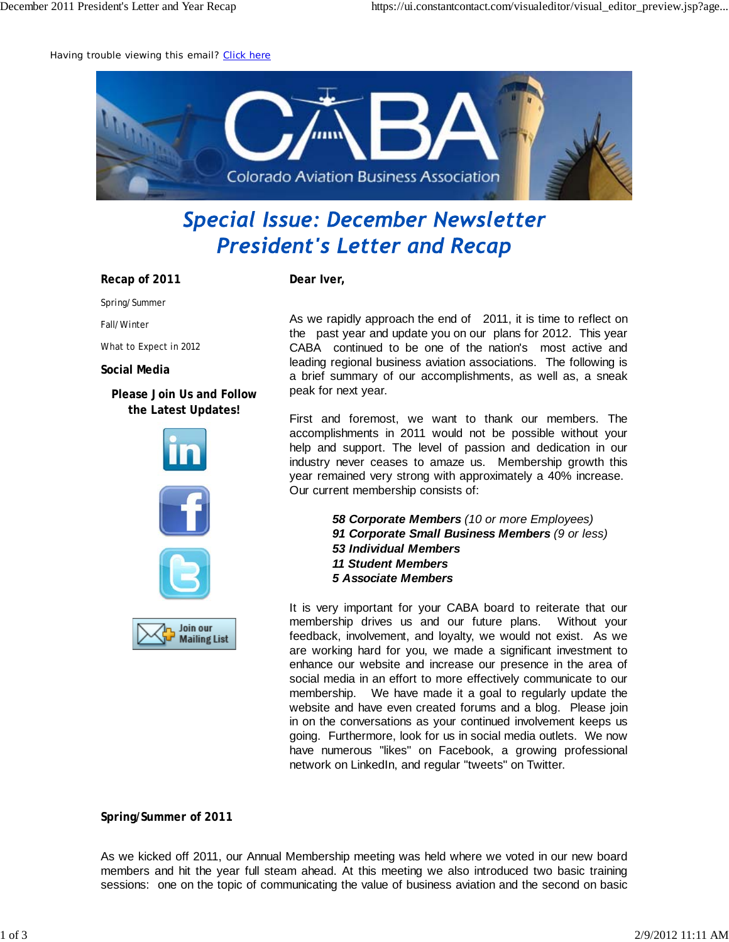Having trouble viewing this email? Click here



## **Special Issue: December Newsletter President's Letter and Recap**

**Recap of 2011**

Spring/Summer

Fall/Winter

What to Expect in 2012

**Social Media**

**Please Join Us and Follow the Latest Updates!**





**Dear Iver,**

As we rapidly approach the end of 2011, it is time to reflect on the past year and update you on our plans for 2012. This year CABA continued to be one of the nation's most active and leading regional business aviation associations. The following is a brief summary of our accomplishments, as well as, a sneak peak for next year.

First and foremost, we want to thank our members. The accomplishments in 2011 would not be possible without your help and support. The level of passion and dedication in our industry never ceases to amaze us. Membership growth this year remained very strong with approximately a 40% increase. Our current membership consists of:

> *58 Corporate Members (10 or more Employees) 91 Corporate Small Business Members (9 or less) 53 Individual Members 11 Student Members 5 Associate Members*

It is very important for your CABA board to reiterate that our membership drives us and our future plans. Without your feedback, involvement, and loyalty, we would not exist. As we are working hard for you, we made a significant investment to enhance our website and increase our presence in the area of social media in an effort to more effectively communicate to our membership. We have made it a goal to regularly update the website and have even created forums and a blog. Please join in on the conversations as your continued involvement keeps us going. Furthermore, look for us in social media outlets. We now have numerous "likes" on Facebook, a growing professional network on LinkedIn, and regular "tweets" on Twitter.

**Spring/Summer of 2011**

As we kicked off 2011, our Annual Membership meeting was held where we voted in our new board members and hit the year full steam ahead. At this meeting we also introduced two basic training sessions: one on the topic of communicating the value of business aviation and the second on basic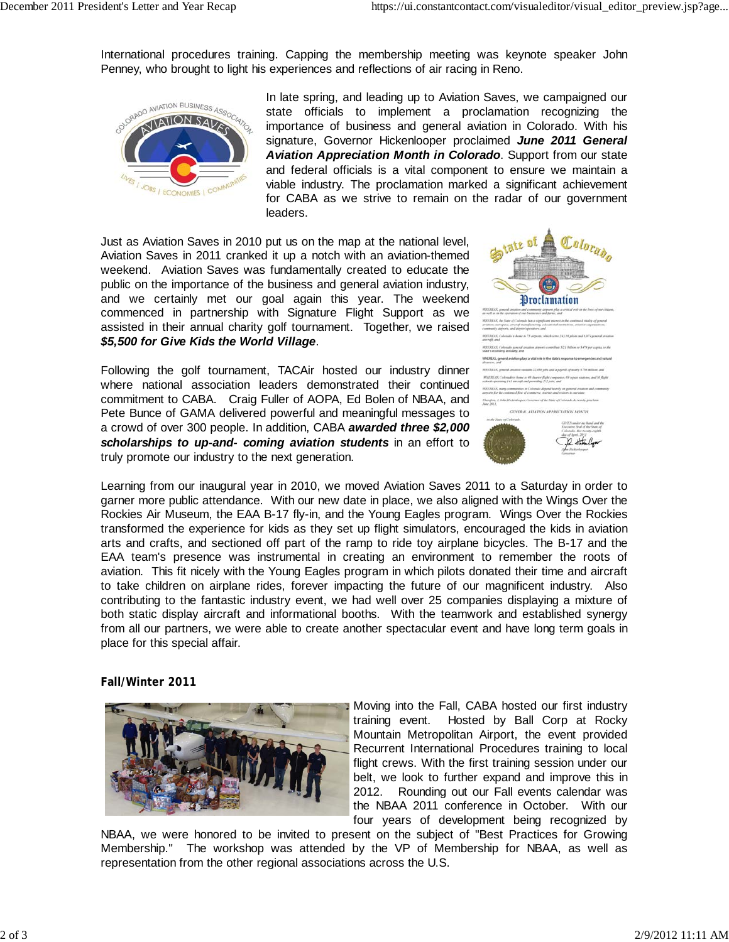International procedures training. Capping the membership meeting was keynote speaker John Penney, who brought to light his experiences and reflections of air racing in Reno.



In late spring, and leading up to Aviation Saves, we campaigned our state officials to implement a proclamation recognizing the importance of business and general aviation in Colorado. With his signature, Governor Hickenlooper proclaimed *June 2011 General Aviation Appreciation Month in Colorado*. Support from our state and federal officials is a vital component to ensure we maintain a viable industry. The proclamation marked a significant achievement for CABA as we strive to remain on the radar of our government leaders.

Just as Aviation Saves in 2010 put us on the map at the national level, Aviation Saves in 2011 cranked it up a notch with an aviation-themed weekend. Aviation Saves was fundamentally created to educate the public on the importance of the business and general aviation industry, and we certainly met our goal again this year. The weekend commenced in partnership with Signature Flight Support as we assisted in their annual charity golf tournament. Together, we raised *\$5,500 for Give Kids the World Village*.

Following the golf tournament, TACAir hosted our industry dinner where national association leaders demonstrated their continued commitment to CABA. Craig Fuller of AOPA, Ed Bolen of NBAA, and Pete Bunce of GAMA delivered powerful and meaningful messages to a crowd of over 300 people. In addition, CABA *awarded three \$2,000 scholarships to up-and- coming aviation students* in an effort to truly promote our industry to the next generation.

| <b>State of</b><br>Colorado<br><b>Proclamation</b>                                                                                                                                                                                                  |
|-----------------------------------------------------------------------------------------------------------------------------------------------------------------------------------------------------------------------------------------------------|
| IFFIELELLES, gypecreal arrianism and community attrovers plan at critical role on the lives of our citizens,                                                                                                                                        |
| as well as in the operation of ear businesses and farms; and                                                                                                                                                                                        |
| WHEREAS, the State of Colorado has a significant interest in the continued vitality of general<br>aviation, acrospocy, anyonal manufacturing, collectivital institutions, aviation organizations,<br>community ateports, and arested spendores; and |
| WHEREAX Colorado is home to 23 airports, which serve 24.118 pilots and 8.074 general aviatio<br>encreal: and                                                                                                                                        |
| WHEREAS, Colorado assessed available atmosfs contribute \$2.1 Inflication \$479 per capita, to the<br>state's economy annually, and                                                                                                                 |
| WHEREAS, general aviation plays a vital role in the state's response to emergencies and natural<br>docum coul                                                                                                                                       |
| WHY/AE-IX, general avianon sustains 22.630 july and a payrell of morb \$750 million; and                                                                                                                                                            |
| WINERCAS, Collengdo in home to 40 charter flight companies, 69 repair signant, and 16 flight<br>schools openings 141 aircraft and providing 212 jobs: and                                                                                           |
| RHEREAX, many communities in Colorado depend heavily on general aviation and community<br>arenatis for the continued flow of commercia, tenerists and visitors to our state:                                                                        |
| Therefore, J. John Westerdooper, Generaer of the State of Colorado do hereby proclame<br>Jane 2011,                                                                                                                                                 |
| GENERAL AVIATION APPRECIATION MONTH                                                                                                                                                                                                                 |
| in the State of Calorado.                                                                                                                                                                                                                           |
| GIVEN under no hand and the<br>Executive Seal of the State of<br>Colorado, this resente crighth<br>das of April. 20)<br>$\Omega$                                                                                                                    |

Learning from our inaugural year in 2010, we moved Aviation Saves 2011 to a Saturday in order to garner more public attendance. With our new date in place, we also aligned with the Wings Over the Rockies Air Museum, the EAA B-17 fly-in, and the Young Eagles program. Wings Over the Rockies transformed the experience for kids as they set up flight simulators, encouraged the kids in aviation arts and crafts, and sectioned off part of the ramp to ride toy airplane bicycles. The B-17 and the EAA team's presence was instrumental in creating an environment to remember the roots of aviation. This fit nicely with the Young Eagles program in which pilots donated their time and aircraft to take children on airplane rides, forever impacting the future of our magnificent industry. Also contributing to the fantastic industry event, we had well over 25 companies displaying a mixture of both static display aircraft and informational booths. With the teamwork and established synergy from all our partners, we were able to create another spectacular event and have long term goals in place for this special affair.

**Fall/Winter 2011**



Moving into the Fall, CABA hosted our first industry training event. Hosted by Ball Corp at Rocky Mountain Metropolitan Airport, the event provided Recurrent International Procedures training to local flight crews. With the first training session under our belt, we look to further expand and improve this in 2012. Rounding out our Fall events calendar was the NBAA 2011 conference in October. With our four years of development being recognized by

NBAA, we were honored to be invited to present on the subject of "Best Practices for Growing Membership." The workshop was attended by the VP of Membership for NBAA, as well as representation from the other regional associations across the U.S.